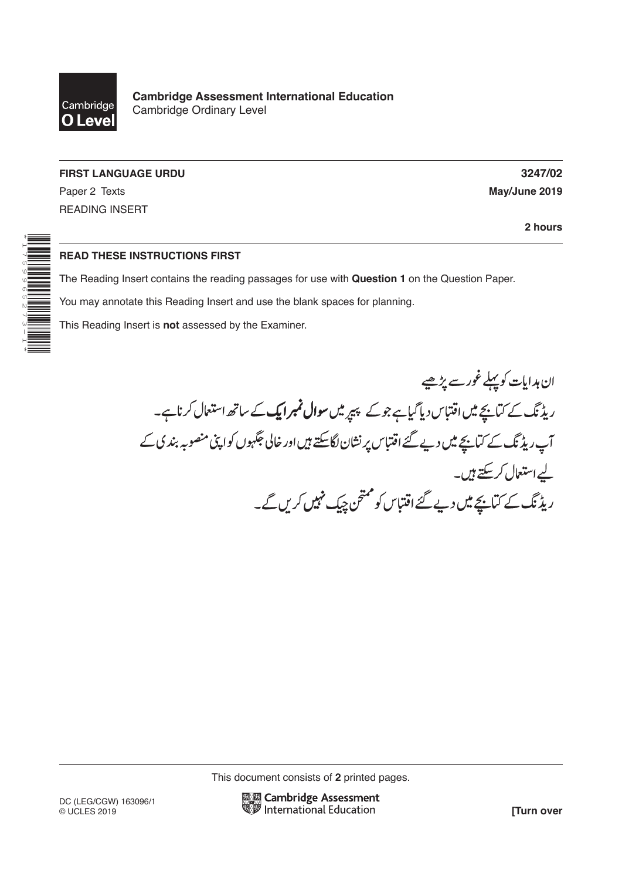

**Cambridge Assessment International Education** Cambridge Ordinary Level

**FIRST LANGUAGE URDU 3247/02**

READING INSERT

\*1759965273-I\*

Paper 2 Texts **May/June 2019**

**2 hours**

## **READ THESE INSTRUCTIONS FIRST**

The Reading Insert contains the reading passages for use with **Question 1** on the Question Paper.

You may annotate this Reading Insert and use the blank spaces for planning.

This Reading Insert is **not** assessed by the Examiner.

ان ہدایات کوپہلے غور سے پڑھیے ریڈنگ کے کتابچے میں اقتباس دیا گیاہے جو کے پیپ<sub>ر</sub> میں **سوال نمبر ایک** کے ساتھ استعمال کرناہے۔ آپ ریڈنگ کے کہانچے میں دیے گئے اقتباس پر نشان لگاسکتے ہیں اور خالی جگہوں کواپنی منصوبہ بندی کے لیے استعال کر کتے ہیں۔ پے، مہی رہے ہیں۔<br>ریڈ ٹک کے کتابیچے میں دیے گئے اقتباس کو ممتحن چیک مہیں کریں گے۔

This document consists of **2** printed pages.